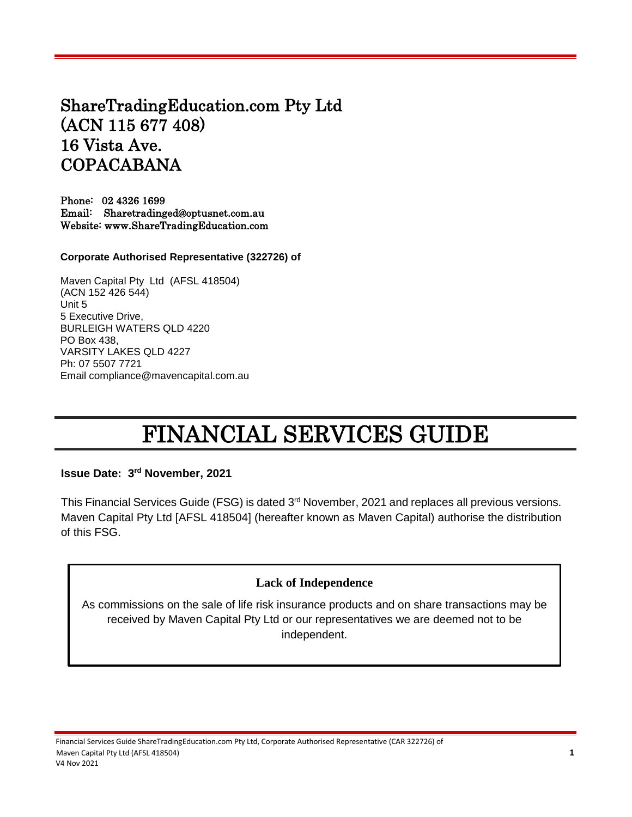# ShareTradingEducation.com Pty Ltd (ACN 115 677 408) 16 Vista Ave. COPACABANA

Phone: 02 4326 1699 Email: Sharetradinged@optusnet.com.au Website: www.ShareTradingEducation.com

**Corporate Authorised Representative (322726) of** 

Maven Capital Pty Ltd (AFSL 418504) (ACN 152 426 544) Unit 5 5 Executive Drive, BURLEIGH WATERS QLD 4220 PO Box 438, VARSITY LAKES QLD 4227 Ph: 07 5507 7721 Email compliance@mavencapital.com.au

# FINANCIAL SERVICES GUIDE

**Issue Date: 3 rd November, 2021**

This Financial Services Guide (FSG) is dated 3<sup>rd</sup> November, 2021 and replaces all previous versions. Maven Capital Pty Ltd [AFSL 418504] (hereafter known as Maven Capital) authorise the distribution of this FSG.

# **Lack of Independence**

As commissions on the sale of life risk insurance products and on share transactions may be received by Maven Capital Pty Ltd or our representatives we are deemed not to be independent.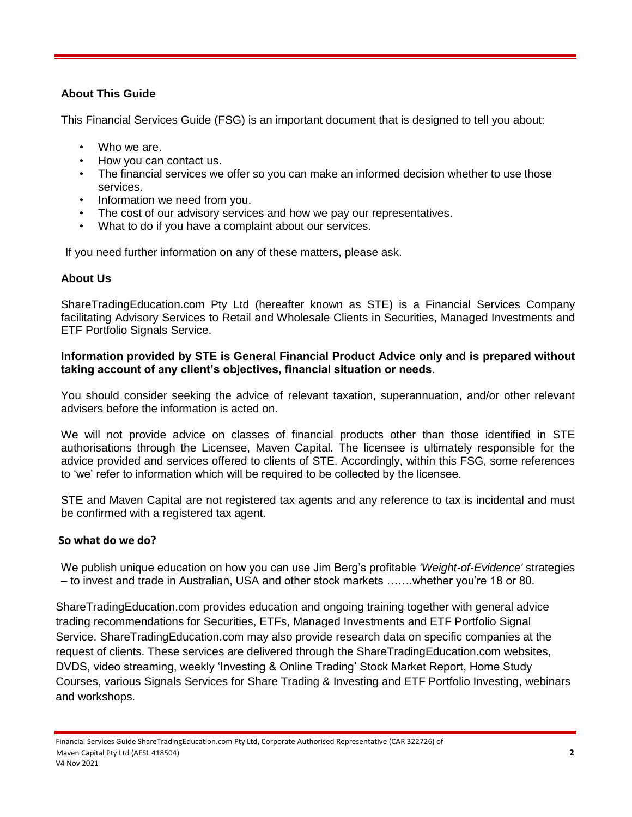# **About This Guide**

This Financial Services Guide (FSG) is an important document that is designed to tell you about:

- Who we are.
- How you can contact us.
- The financial services we offer so you can make an informed decision whether to use those services.
- Information we need from you.
- The cost of our advisory services and how we pay our representatives.
- What to do if you have a complaint about our services.

If you need further information on any of these matters, please ask.

# **About Us**

ShareTradingEducation.com Pty Ltd (hereafter known as STE) is a Financial Services Company facilitating Advisory Services to Retail and Wholesale Clients in Securities, Managed Investments and ETF Portfolio Signals Service.

#### **Information provided by STE is General Financial Product Advice only and is prepared without taking account of any client's objectives, financial situation or needs**.

You should consider seeking the advice of relevant taxation, superannuation, and/or other relevant advisers before the information is acted on.

We will not provide advice on classes of financial products other than those identified in STE authorisations through the Licensee, Maven Capital. The licensee is ultimately responsible for the advice provided and services offered to clients of STE. Accordingly, within this FSG, some references to 'we' refer to information which will be required to be collected by the licensee.

STE and Maven Capital are not registered tax agents and any reference to tax is incidental and must be confirmed with a registered tax agent.

# **So what do we do?**

We publish unique education on how you can use Jim Berg's profitable *'Weight-of-Evidence'* strategies – to invest and trade in Australian, USA and other stock markets …….whether you're 18 or 80.

ShareTradingEducation.com provides education and ongoing training together with general advice trading recommendations for Securities, ETFs, Managed Investments and ETF Portfolio Signal Service. ShareTradingEducation.com may also provide research data on specific companies at the request of clients. These services are delivered through the ShareTradingEducation.com websites, DVDS, video streaming, weekly 'Investing & Online Trading' Stock Market Report, Home Study Courses, various Signals Services for Share Trading & Investing and ETF Portfolio Investing, webinars and workshops.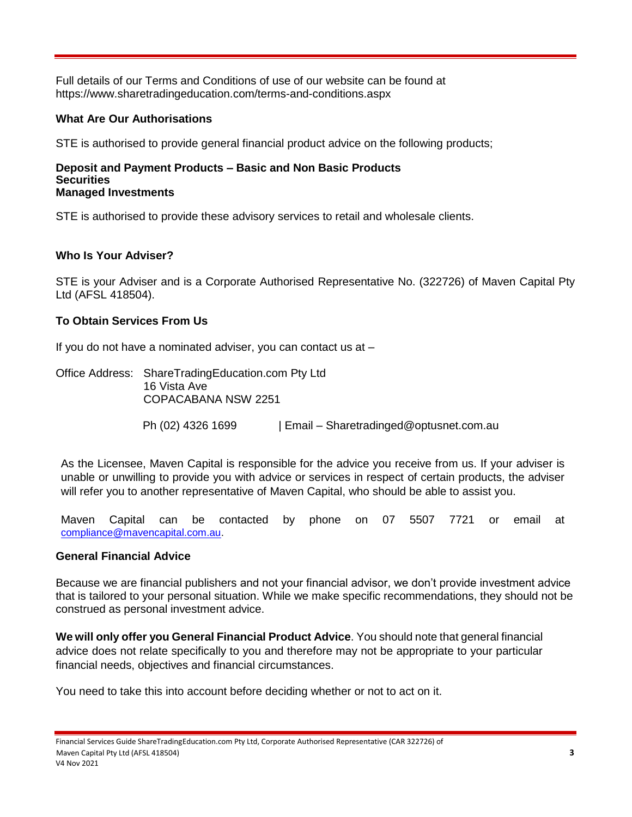Full details of our Terms and Conditions of use of our website can be found at https://www.sharetradingeducation.com/terms-and-conditions.aspx

# **What Are Our Authorisations**

STE is authorised to provide general financial product advice on the following products;

#### **Deposit and Payment Products – Basic and Non Basic Products Securities Managed Investments**

STE is authorised to provide these advisory services to retail and wholesale clients.

# **Who Is Your Adviser?**

STE is your Adviser and is a Corporate Authorised Representative No. (322726) of Maven Capital Pty Ltd (AFSL 418504).

# **To Obtain Services From Us**

If you do not have a nominated adviser, you can contact us at –

Office Address: ShareTradingEducation.com Pty Ltd 16 Vista Ave COPACABANA NSW 2251 Ph (02) 4326 1699 | Email – Sharetradinged@optusnet.com.au

As the Licensee, Maven Capital is responsible for the advice you receive from us. If your adviser is unable or unwilling to provide you with advice or services in respect of certain products, the adviser will refer you to another representative of Maven Capital, who should be able to assist you.

Maven Capital can be contacted by phone on 07 5507 7721 or email at [compliance@mavencapital.com.au.](mailto:compliance@mavencapital.com.au)

# **General Financial Advice**

Because we are financial publishers and not your financial advisor, we don't provide investment advice that is tailored to your personal situation. While we make specific recommendations, they should not be construed as personal investment advice.

**We will only offer you General Financial Product Advice**. You should note that general financial advice does not relate specifically to you and therefore may not be appropriate to your particular financial needs, objectives and financial circumstances.

You need to take this into account before deciding whether or not to act on it.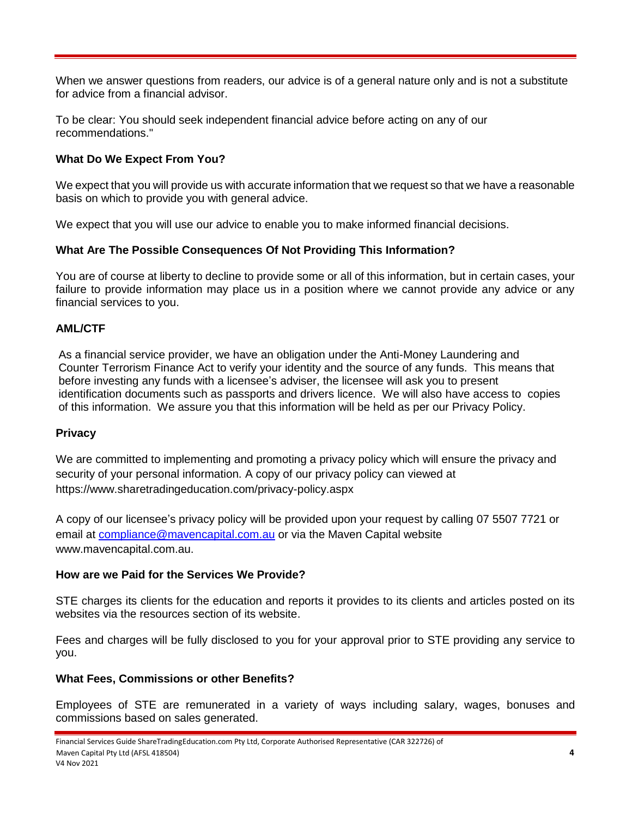When we answer questions from readers, our advice is of a general nature only and is not a substitute for advice from a financial advisor.

To be clear: You should seek independent financial advice before acting on any of our recommendations."

# **What Do We Expect From You?**

We expect that you will provide us with accurate information that we request so that we have a reasonable basis on which to provide you with general advice.

We expect that you will use our advice to enable you to make informed financial decisions.

# **What Are The Possible Consequences Of Not Providing This Information?**

You are of course at liberty to decline to provide some or all of this information, but in certain cases, your failure to provide information may place us in a position where we cannot provide any advice or any financial services to you.

# **AML/CTF**

As a financial service provider, we have an obligation under the Anti-Money Laundering and Counter Terrorism Finance Act to verify your identity and the source of any funds. This means that before investing any funds with a licensee's adviser, the licensee will ask you to present identification documents such as passports and drivers licence. We will also have access to copies of this information. We assure you that this information will be held as per our Privacy Policy.

#### **Privacy**

We are committed to implementing and promoting a privacy policy which will ensure the privacy and security of your personal information. A copy of our privacy policy can viewed at https://www.sharetradingeducation.com/privacy-policy.aspx

A copy of our licensee's privacy policy will be provided upon your request by calling 07 5507 7721 or email at [compliance@mavencapital.com.au](mailto:compliance@mavencapital.com.au) or via the Maven Capital website www.mavencapital.com.au.

#### **How are we Paid for the Services We Provide?**

STE charges its clients for the education and reports it provides to its clients and articles posted on its websites via the resources section of its website.

Fees and charges will be fully disclosed to you for your approval prior to STE providing any service to you.

#### **What Fees, Commissions or other Benefits?**

Employees of STE are remunerated in a variety of ways including salary, wages, bonuses and commissions based on sales generated.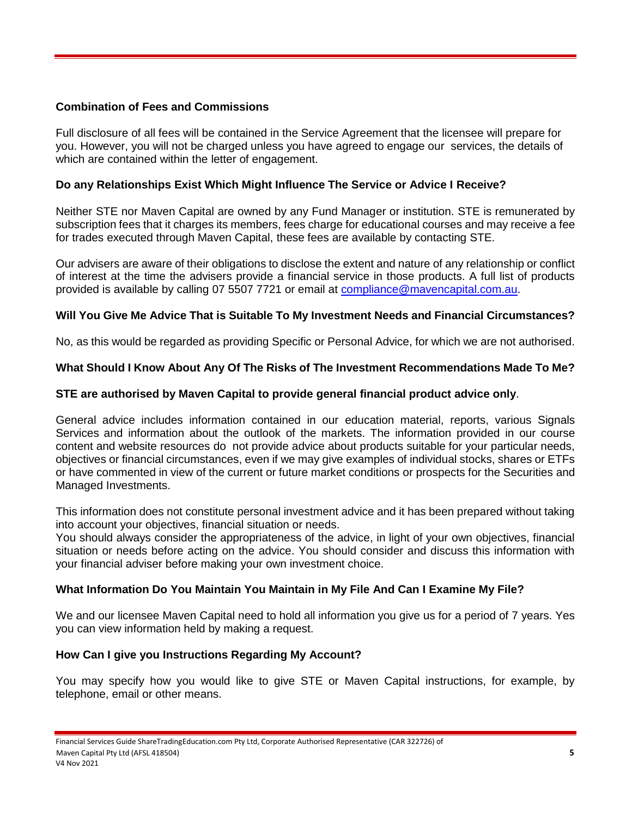## **Combination of Fees and Commissions**

Full disclosure of all fees will be contained in the Service Agreement that the licensee will prepare for you. However, you will not be charged unless you have agreed to engage our services, the details of which are contained within the letter of engagement.

## **Do any Relationships Exist Which Might Influence The Service or Advice I Receive?**

Neither STE nor Maven Capital are owned by any Fund Manager or institution. STE is remunerated by subscription fees that it charges its members, fees charge for educational courses and may receive a fee for trades executed through Maven Capital, these fees are available by contacting STE.

Our advisers are aware of their obligations to disclose the extent and nature of any relationship or conflict of interest at the time the advisers provide a financial service in those products. A full list of products provided is available by calling 07 5507 7721 or email at [compliance@mavencapital.com.au.](mailto:compliance@mavencapital.com.au)

# **Will You Give Me Advice That is Suitable To My Investment Needs and Financial Circumstances?**

No, as this would be regarded as providing Specific or Personal Advice, for which we are not authorised.

#### **What Should I Know About Any Of The Risks of The Investment Recommendations Made To Me?**

#### **STE are authorised by Maven Capital to provide general financial product advice only**.

General advice includes information contained in our education material, reports, various Signals Services and information about the outlook of the markets. The information provided in our course content and website resources do not provide advice about products suitable for your particular needs, objectives or financial circumstances, even if we may give examples of individual stocks, shares or ETFs or have commented in view of the current or future market conditions or prospects for the Securities and Managed Investments.

This information does not constitute personal investment advice and it has been prepared without taking into account your objectives, financial situation or needs.

You should always consider the appropriateness of the advice, in light of your own objectives, financial situation or needs before acting on the advice. You should consider and discuss this information with your financial adviser before making your own investment choice.

# **What Information Do You Maintain You Maintain in My File And Can I Examine My File?**

We and our licensee Maven Capital need to hold all information you give us for a period of 7 years. Yes you can view information held by making a request.

#### **How Can I give you Instructions Regarding My Account?**

You may specify how you would like to give STE or Maven Capital instructions, for example, by telephone, email or other means.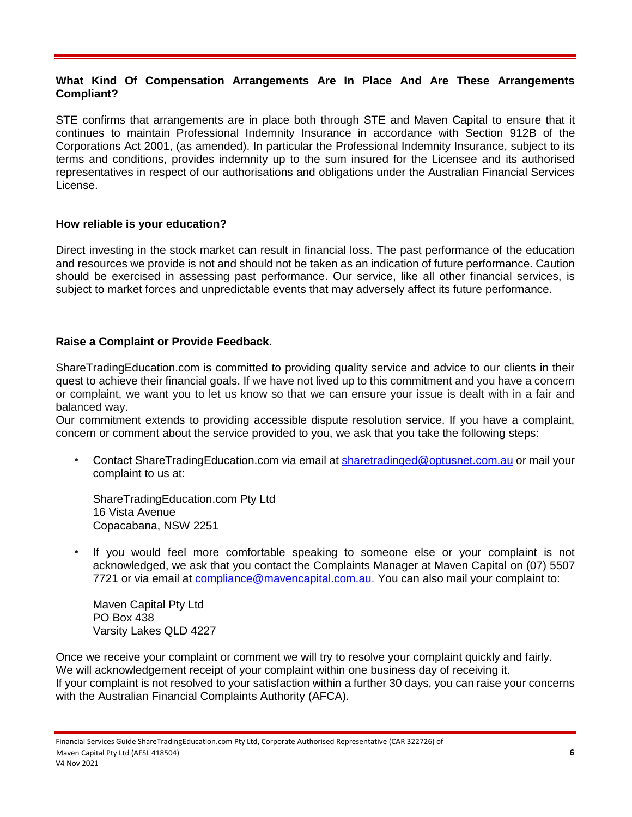#### **What Kind Of Compensation Arrangements Are In Place And Are These Arrangements Compliant?**

STE confirms that arrangements are in place both through STE and Maven Capital to ensure that it continues to maintain Professional Indemnity Insurance in accordance with Section 912B of the Corporations Act 2001, (as amended). In particular the Professional Indemnity Insurance, subject to its terms and conditions, provides indemnity up to the sum insured for the Licensee and its authorised representatives in respect of our authorisations and obligations under the Australian Financial Services License.

#### **How reliable is your education?**

Direct investing in the stock market can result in financial loss. The past performance of the education and resources we provide is not and should not be taken as an indication of future performance. Caution should be exercised in assessing past performance. Our service, like all other financial services, is subject to market forces and unpredictable events that may adversely affect its future performance.

#### **Raise a Complaint or Provide Feedback.**

ShareTradingEducation.com is committed to providing quality service and advice to our clients in their quest to achieve their financial goals. If we have not lived up to this commitment and you have a concern or complaint, we want you to let us know so that we can ensure your issue is dealt with in a fair and balanced way.

Our commitment extends to providing accessible dispute resolution service. If you have a complaint, concern or comment about the service provided to you, we ask that you take the following steps:

• Contact ShareTradingEducation.com via email at [sharetradinged@optusnet.com.au](mailto:sharetradinged@optusnet.com.au) or mail your complaint to us at:

ShareTradingEducation.com Pty Ltd 16 Vista Avenue Copacabana, NSW 2251

• If you would feel more comfortable speaking to someone else or your complaint is not acknowledged, we ask that you contact the Complaints Manager at Maven Capital on (07) 5507 7721 or via email at [compliance@mavencapital.com.au.](mailto:compliance@mavencapital.com.au) You can also mail your complaint to:

Maven Capital Pty Ltd PO Box 438 Varsity Lakes QLD 4227

Once we receive your complaint or comment we will try to resolve your complaint quickly and fairly. We will acknowledgement receipt of your complaint within one business day of receiving it. If your complaint is not resolved to your satisfaction within a further 30 days, you can raise your concerns with the Australian Financial Complaints Authority (AFCA).

Financial Services Guide ShareTradingEducation.com Pty Ltd, Corporate Authorised Representative (CAR 322726) of Maven Capital Pty Ltd (AFSL 418504) **6** V4 Nov 2021